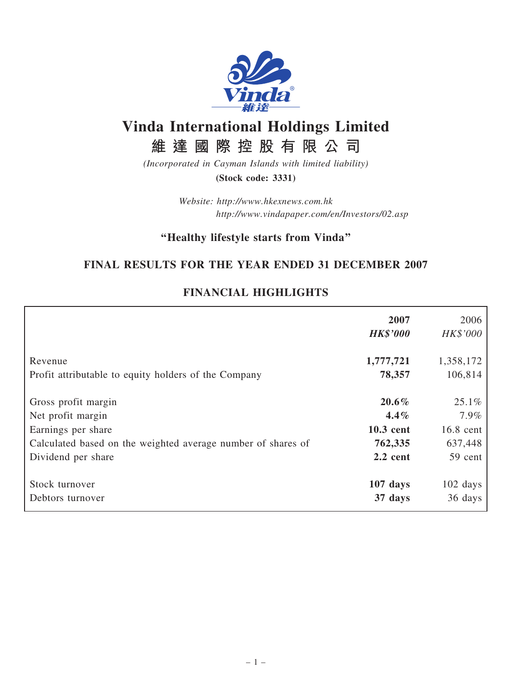

# Vinda International Holdings Limited

維 達 國 際 控 股 有 限 公 司

(Incorporated in Cayman Islands with limited liability) (Stock code: 3331)

> Website: http://www.hkexnews.com.hk http://www.vindapaper.com/en/Investors/02.asp

# ''Healthy lifestyle starts from Vinda''

# FINAL RESULTS FOR THE YEAR ENDED 31 DECEMBER 2007

|                                                              | 2007<br><b>HK\$'000</b> | 2006<br>HK\$'000   |
|--------------------------------------------------------------|-------------------------|--------------------|
| Revenue                                                      | 1,777,721               | 1,358,172          |
| Profit attributable to equity holders of the Company         | 78,357                  | 106,814            |
| Gross profit margin                                          | $20.6\%$                | 25.1%              |
| Net profit margin                                            | $4.4\%$                 | 7.9%               |
| Earnings per share                                           | 10.3 cent               | 16.8 cent          |
| Calculated based on the weighted average number of shares of | 762,335                 | 637,448            |
| Dividend per share                                           | $2.2$ cent              | 59 cent            |
| Stock turnover                                               | $107$ days              | $102 \text{ days}$ |
| Debtors turnover                                             | 37 days                 | 36 days            |

# FINANCIAL HIGHLIGHTS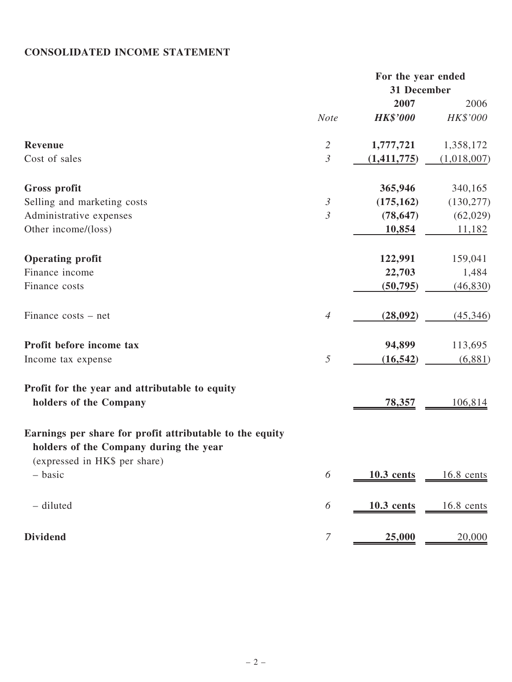# CONSOLIDATED INCOME STATEMENT

|                                                                                                                                     | For the year ended |                 |             |
|-------------------------------------------------------------------------------------------------------------------------------------|--------------------|-----------------|-------------|
|                                                                                                                                     |                    | 31 December     |             |
|                                                                                                                                     |                    | 2007            | 2006        |
|                                                                                                                                     | <b>Note</b>        | <b>HK\$'000</b> | HK\$'000    |
| Revenue                                                                                                                             | $\mathfrak{2}$     | 1,777,721       | 1,358,172   |
| Cost of sales                                                                                                                       | $\mathfrak{Z}$     | (1,411,775)     | (1,018,007) |
| Gross profit                                                                                                                        |                    | 365,946         | 340,165     |
| Selling and marketing costs                                                                                                         | $\mathfrak{Z}$     | (175, 162)      | (130, 277)  |
| Administrative expenses                                                                                                             | $\mathfrak{Z}$     | (78, 647)       | (62,029)    |
| Other income/(loss)                                                                                                                 |                    | 10,854          | 11,182      |
| <b>Operating profit</b>                                                                                                             |                    | 122,991         | 159,041     |
| Finance income                                                                                                                      |                    | 22,703          | 1,484       |
| Finance costs                                                                                                                       |                    | (50, 795)       | (46, 830)   |
| Finance costs – net                                                                                                                 | $\overline{4}$     | (28,092)        | (45, 346)   |
| Profit before income tax                                                                                                            |                    | 94,899          | 113,695     |
| Income tax expense                                                                                                                  | 5                  | (16, 542)       | (6,881)     |
| Profit for the year and attributable to equity                                                                                      |                    |                 |             |
| holders of the Company                                                                                                              |                    | 78,357          | 106,814     |
| Earnings per share for profit attributable to the equity<br>holders of the Company during the year<br>(expressed in HK\$ per share) |                    |                 |             |
| - basic                                                                                                                             | 6                  | $10.3$ cents    | 16.8 cents  |
| - diluted                                                                                                                           | 6                  | $10.3$ cents    | 16.8 cents  |
| <b>Dividend</b>                                                                                                                     | 7                  | 25,000          | 20,000      |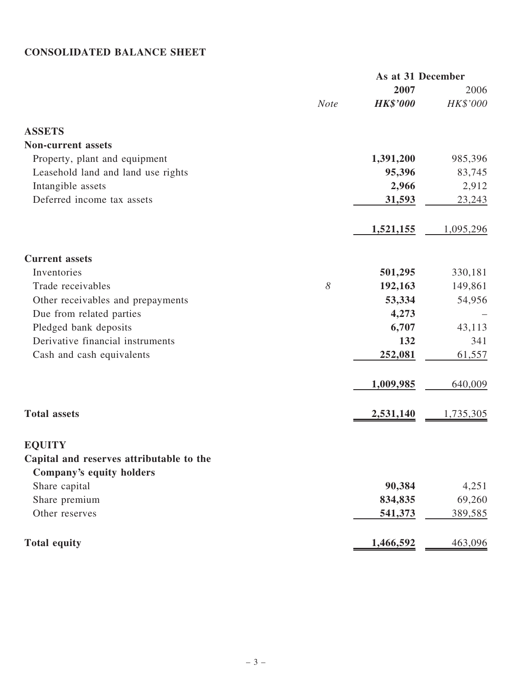# CONSOLIDATED BALANCE SHEET

|                                          |             | As at 31 December |           |
|------------------------------------------|-------------|-------------------|-----------|
|                                          |             | 2007              | 2006      |
|                                          | <b>Note</b> | <b>HK\$'000</b>   | HK\$'000  |
| <b>ASSETS</b>                            |             |                   |           |
| <b>Non-current assets</b>                |             |                   |           |
| Property, plant and equipment            |             | 1,391,200         | 985,396   |
| Leasehold land and land use rights       |             | 95,396            | 83,745    |
| Intangible assets                        |             | 2,966             | 2,912     |
| Deferred income tax assets               |             | <u>31,593</u>     | 23,243    |
|                                          |             | 1,521,155         | 1,095,296 |
| <b>Current assets</b>                    |             |                   |           |
| Inventories                              |             | 501,295           | 330,181   |
| Trade receivables                        | 8           | 192,163           | 149,861   |
| Other receivables and prepayments        |             | 53,334            | 54,956    |
| Due from related parties                 |             | 4,273             |           |
| Pledged bank deposits                    |             | 6,707             | 43,113    |
| Derivative financial instruments         |             | 132               | 341       |
| Cash and cash equivalents                |             | 252,081           | 61,557    |
|                                          |             | 1,009,985         | 640,009   |
| <b>Total assets</b>                      |             | 2,531,140         | 1,735,305 |
| <b>EQUITY</b>                            |             |                   |           |
| Capital and reserves attributable to the |             |                   |           |
| Company's equity holders                 |             |                   |           |
| Share capital                            |             | 90,384            | 4,251     |
| Share premium                            |             | 834,835           | 69,260    |
| Other reserves                           |             | 541,373           | 389,585   |
| <b>Total equity</b>                      |             | 1,466,592         | 463,096   |
|                                          |             |                   |           |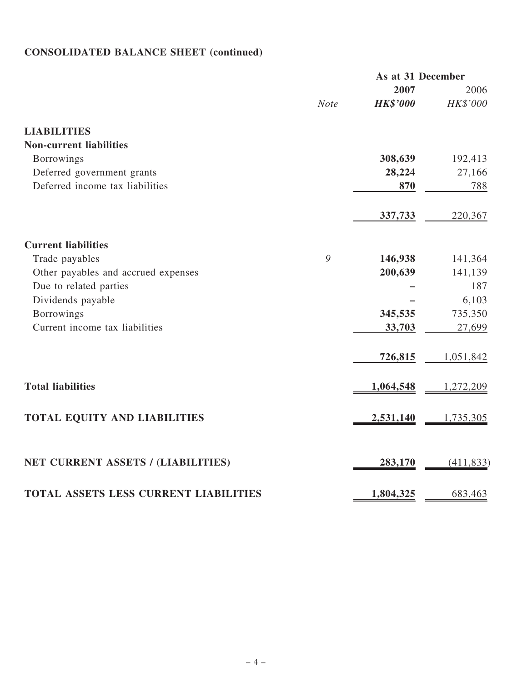# CONSOLIDATED BALANCE SHEET (continued)

|                                              | As at 31 December |                 |            |
|----------------------------------------------|-------------------|-----------------|------------|
|                                              |                   | 2007            | 2006       |
|                                              | <b>Note</b>       | <b>HK\$'000</b> | HK\$'000   |
| <b>LIABILITIES</b>                           |                   |                 |            |
| <b>Non-current liabilities</b>               |                   |                 |            |
| <b>Borrowings</b>                            |                   | 308,639         | 192,413    |
| Deferred government grants                   |                   | 28,224          | 27,166     |
| Deferred income tax liabilities              |                   | 870             | 788        |
|                                              |                   | 337,733         | 220,367    |
| <b>Current liabilities</b>                   |                   |                 |            |
| Trade payables                               | 9                 | 146,938         | 141,364    |
| Other payables and accrued expenses          |                   | 200,639         | 141,139    |
| Due to related parties                       |                   |                 | 187        |
| Dividends payable                            |                   |                 | 6,103      |
| <b>Borrowings</b>                            |                   | 345,535         | 735,350    |
| Current income tax liabilities               |                   | 33,703          | 27,699     |
|                                              |                   | 726,815         | 1,051,842  |
| <b>Total liabilities</b>                     |                   | 1,064,548       | 1,272,209  |
| TOTAL EQUITY AND LIABILITIES                 |                   | 2,531,140       | 1,735,305  |
| NET CURRENT ASSETS / (LIABILITIES)           |                   |                 |            |
|                                              |                   | 283,170         | (411, 833) |
| <b>TOTAL ASSETS LESS CURRENT LIABILITIES</b> |                   | 1,804,325       | 683,463    |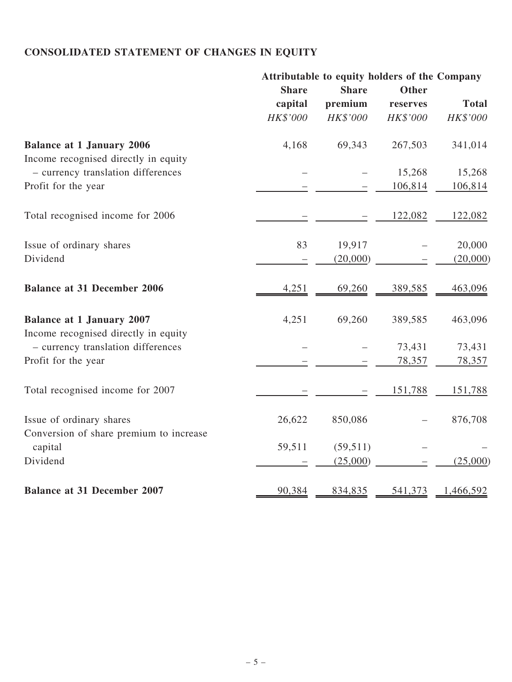# CONSOLIDATED STATEMENT OF CHANGES IN EQUITY

|                                                                            | Attributable to equity holders of the Company |                       |          |              |
|----------------------------------------------------------------------------|-----------------------------------------------|-----------------------|----------|--------------|
|                                                                            | <b>Share</b>                                  | <b>Share</b>          | Other    |              |
|                                                                            | capital                                       | premium               | reserves | <b>Total</b> |
|                                                                            | HK\$'000                                      | HK\$'000              | HK\$'000 | HK\$'000     |
| <b>Balance at 1 January 2006</b>                                           | 4,168                                         | 69,343                | 267,503  | 341,014      |
| Income recognised directly in equity                                       |                                               |                       |          |              |
| - currency translation differences                                         |                                               |                       | 15,268   | 15,268       |
| Profit for the year                                                        |                                               |                       | 106,814  | 106,814      |
| Total recognised income for 2006                                           |                                               |                       | 122,082  | 122,082      |
| Issue of ordinary shares                                                   | 83                                            | 19,917                |          | 20,000       |
| Dividend                                                                   |                                               | (20,000)              |          | (20,000)     |
| <b>Balance at 31 December 2006</b>                                         | 4,251                                         | 69,260                | 389,585  | 463,096      |
| <b>Balance at 1 January 2007</b>                                           | 4,251                                         | 69,260                | 389,585  | 463,096      |
| Income recognised directly in equity<br>- currency translation differences |                                               |                       | 73,431   | 73,431       |
| Profit for the year                                                        |                                               |                       | 78,357   | 78,357       |
| Total recognised income for 2007                                           |                                               |                       | 151,788  | 151,788      |
| Issue of ordinary shares                                                   | 26,622                                        | 850,086               |          | 876,708      |
| Conversion of share premium to increase                                    |                                               |                       |          |              |
| capital<br>Dividend                                                        | 59,511                                        | (59, 511)<br>(25,000) |          | (25,000)     |
| <b>Balance at 31 December 2007</b>                                         |                                               |                       |          |              |
|                                                                            | 90,384                                        | 834,835               | 541,373  | 1,466,592    |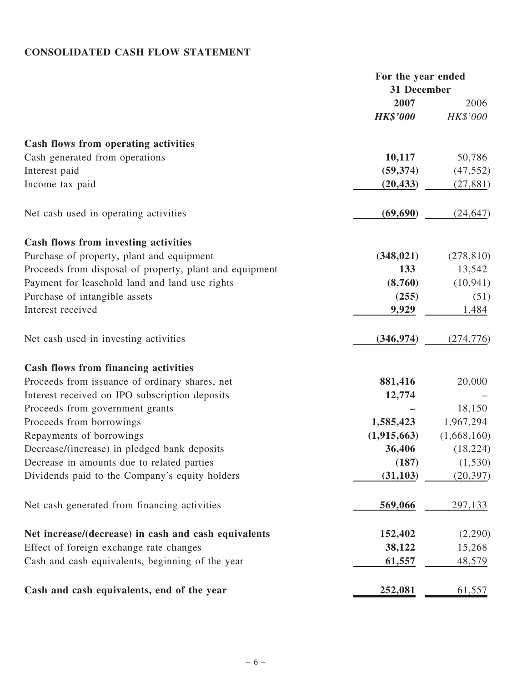# CONSOLIDATED CASH FLOW STATEMENT

|                                                         | For the year ended |             |
|---------------------------------------------------------|--------------------|-------------|
|                                                         | 31 December        |             |
|                                                         | 2007               | 2006        |
|                                                         | <b>HK\$'000</b>    | HK\$'000    |
| Cash flows from operating activities                    |                    |             |
| Cash generated from operations                          | 10,117             | 50,786      |
| Interest paid                                           | (59, 374)          | (47, 552)   |
| Income tax paid                                         | (20, 433)          | (27, 881)   |
| Net cash used in operating activities                   | (69, 690)          | (24, 647)   |
| Cash flows from investing activities                    |                    |             |
| Purchase of property, plant and equipment               | (348, 021)         | (278, 810)  |
| Proceeds from disposal of property, plant and equipment | 133                | 13,542      |
| Payment for leasehold land and land use rights          | (8,760)            | (10, 941)   |
| Purchase of intangible assets                           | (255)              | (51)        |
| Interest received                                       | 9,929              | 1,484       |
| Net cash used in investing activities                   | (346, 974)         | (274, 776)  |
| Cash flows from financing activities                    |                    |             |
| Proceeds from issuance of ordinary shares, net          | 881,416            | 20,000      |
| Interest received on IPO subscription deposits          | 12,774             |             |
| Proceeds from government grants                         |                    | 18,150      |
| Proceeds from borrowings                                | 1,585,423          | 1,967,294   |
| Repayments of borrowings                                | (1,915,663)        | (1,668,160) |
| Decrease/(increase) in pledged bank deposits            | 36,406             | (18, 224)   |
| Decrease in amounts due to related parties              | (187)              | (1, 530)    |
| Dividends paid to the Company's equity holders          | (31, 103)          | (20, 397)   |
| Net cash generated from financing activities            | 569,066            | 297,133     |
| Net increase/(decrease) in cash and cash equivalents    | 152,402            | (2,290)     |
| Effect of foreign exchange rate changes                 | 38,122             | 15,268      |
| Cash and cash equivalents, beginning of the year        | 61,557             | 48,579      |
| Cash and cash equivalents, end of the year              | 252,081            | 61,557      |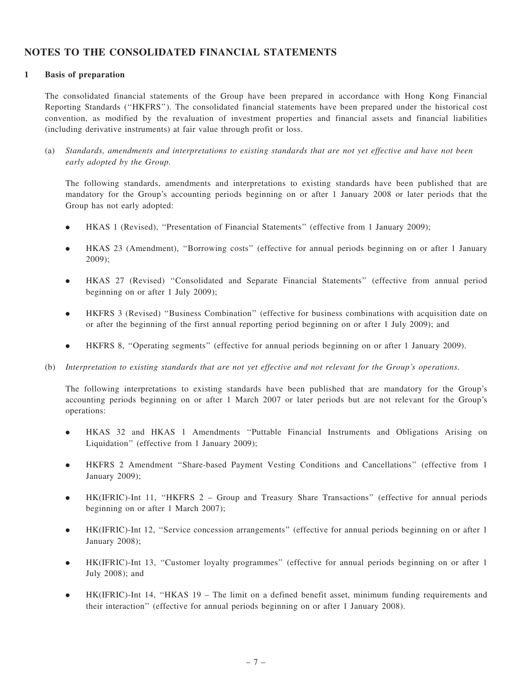#### NOTES TO THE CONSOLIDATED FINANCIAL STATEMENTS

#### 1 Basis of preparation

The consolidated financial statements of the Group have been prepared in accordance with Hong Kong Financial Reporting Standards (''HKFRS''). The consolidated financial statements have been prepared under the historical cost convention, as modified by the revaluation of investment properties and financial assets and financial liabilities (including derivative instruments) at fair value through profit or loss.

(a) Standards, amendments and interpretations to existing standards that are not yet effective and have not been early adopted by the Group.

The following standards, amendments and interpretations to existing standards have been published that are mandatory for the Group's accounting periods beginning on or after 1 January 2008 or later periods that the Group has not early adopted:

- . HKAS 1 (Revised), ''Presentation of Financial Statements'' (effective from 1 January 2009);
- . HKAS 23 (Amendment), ''Borrowing costs'' (effective for annual periods beginning on or after 1 January 2009);
- . HKAS 27 (Revised) ''Consolidated and Separate Financial Statements'' (effective from annual period beginning on or after 1 July 2009);
- . HKFRS 3 (Revised) ''Business Combination'' (effective for business combinations with acquisition date on or after the beginning of the first annual reporting period beginning on or after 1 July 2009); and
- . HKFRS 8, ''Operating segments'' (effective for annual periods beginning on or after 1 January 2009).
- (b) Interpretation to existing standards that are not yet effective and not relevant for the Group's operations.

The following interpretations to existing standards have been published that are mandatory for the Group's accounting periods beginning on or after 1 March 2007 or later periods but are not relevant for the Group's operations:

- . HKAS 32 and HKAS 1 Amendments ''Puttable Financial Instruments and Obligations Arising on Liquidation'' (effective from 1 January 2009);
- . HKFRS 2 Amendment ''Share-based Payment Vesting Conditions and Cancellations'' (effective from 1 January 2009);
- . HK(IFRIC)-Int 11, ''HKFRS 2 Group and Treasury Share Transactions'' (effective for annual periods beginning on or after 1 March 2007);
- . HK(IFRIC)-Int 12, ''Service concession arrangements'' (effective for annual periods beginning on or after 1 January 2008);
- . HK(IFRIC)-Int 13, ''Customer loyalty programmes'' (effective for annual periods beginning on or after 1 July 2008); and
- . HK(IFRIC)-Int 14, ''HKAS 19 The limit on a defined benefit asset, minimum funding requirements and their interaction'' (effective for annual periods beginning on or after 1 January 2008).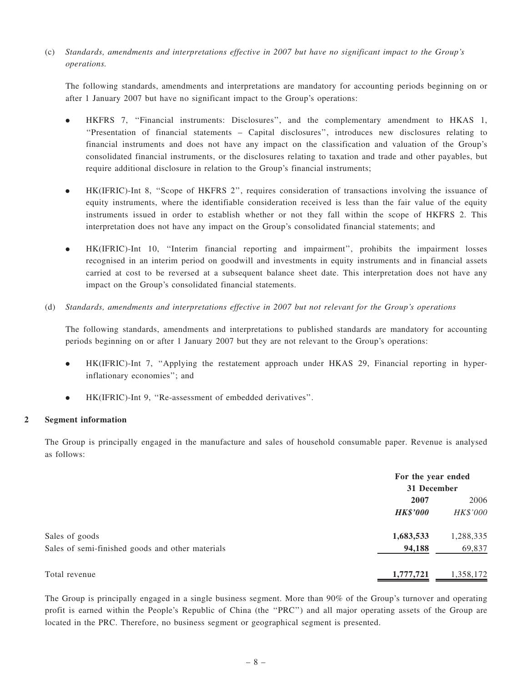(c) Standards, amendments and interpretations effective in 2007 but have no significant impact to the Group's operations.

The following standards, amendments and interpretations are mandatory for accounting periods beginning on or after 1 January 2007 but have no significant impact to the Group's operations:

- . HKFRS 7, ''Financial instruments: Disclosures'', and the complementary amendment to HKAS 1, ''Presentation of financial statements – Capital disclosures'', introduces new disclosures relating to financial instruments and does not have any impact on the classification and valuation of the Group's consolidated financial instruments, or the disclosures relating to taxation and trade and other payables, but require additional disclosure in relation to the Group's financial instruments;
- . HK(IFRIC)-Int 8, ''Scope of HKFRS 2'', requires consideration of transactions involving the issuance of equity instruments, where the identifiable consideration received is less than the fair value of the equity instruments issued in order to establish whether or not they fall within the scope of HKFRS 2. This interpretation does not have any impact on the Group's consolidated financial statements; and
- . HK(IFRIC)-Int 10, ''Interim financial reporting and impairment'', prohibits the impairment losses recognised in an interim period on goodwill and investments in equity instruments and in financial assets carried at cost to be reversed at a subsequent balance sheet date. This interpretation does not have any impact on the Group's consolidated financial statements.
- (d) Standards, amendments and interpretations effective in 2007 but not relevant for the Group's operations

The following standards, amendments and interpretations to published standards are mandatory for accounting periods beginning on or after 1 January 2007 but they are not relevant to the Group's operations:

- . HK(IFRIC)-Int 7, ''Applying the restatement approach under HKAS 29, Financial reporting in hyperinflationary economies''; and
- . HK(IFRIC)-Int 9, ''Re-assessment of embedded derivatives''.

#### 2 Segment information

The Group is principally engaged in the manufacture and sales of household consumable paper. Revenue is analysed as follows:

|                                                  | For the year ended |           |
|--------------------------------------------------|--------------------|-----------|
|                                                  | 31 December        |           |
|                                                  | 2007               | 2006      |
|                                                  | <b>HK\$'000</b>    | HK\$'000  |
| Sales of goods                                   | 1,683,533          | 1,288,335 |
| Sales of semi-finished goods and other materials | 94,188             | 69,837    |
| Total revenue                                    | 1,777,721          | 1,358,172 |

The Group is principally engaged in a single business segment. More than 90% of the Group's turnover and operating profit is earned within the People's Republic of China (the ''PRC'') and all major operating assets of the Group are located in the PRC. Therefore, no business segment or geographical segment is presented.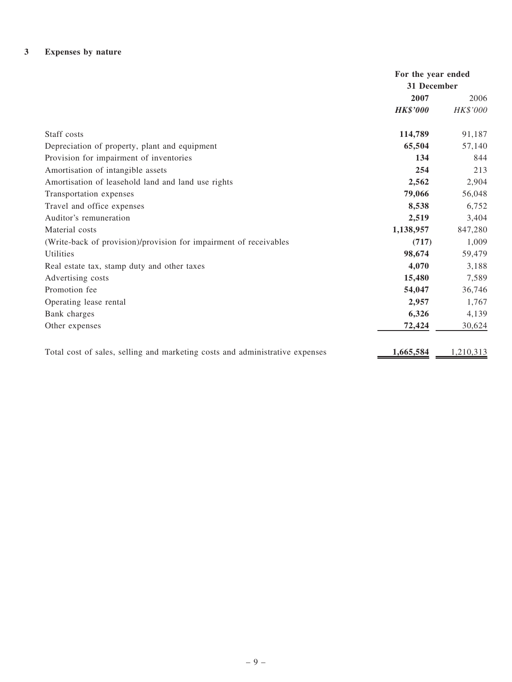## 3 Expenses by nature

|                                                                              | For the year ended<br>31 December |           |
|------------------------------------------------------------------------------|-----------------------------------|-----------|
|                                                                              | 2007                              | 2006      |
|                                                                              | <b>HK\$'000</b>                   | HK\$'000  |
| Staff costs                                                                  | 114,789                           | 91,187    |
| Depreciation of property, plant and equipment                                | 65,504                            | 57,140    |
| Provision for impairment of inventories                                      | 134                               | 844       |
| Amortisation of intangible assets                                            | 254                               | 213       |
| Amortisation of leasehold land and land use rights                           | 2,562                             | 2,904     |
| Transportation expenses                                                      | 79,066                            | 56,048    |
| Travel and office expenses                                                   | 8,538                             | 6,752     |
| Auditor's remuneration                                                       | 2,519                             | 3,404     |
| Material costs                                                               | 1,138,957                         | 847,280   |
| (Write-back of provision)/provision for impairment of receivables            | (717)                             | 1,009     |
| Utilities                                                                    | 98,674                            | 59,479    |
| Real estate tax, stamp duty and other taxes                                  | 4,070                             | 3,188     |
| Advertising costs                                                            | 15,480                            | 7,589     |
| Promotion fee                                                                | 54,047                            | 36,746    |
| Operating lease rental                                                       | 2,957                             | 1,767     |
| Bank charges                                                                 | 6,326                             | 4,139     |
| Other expenses                                                               | 72,424                            | 30,624    |
| Total cost of sales, selling and marketing costs and administrative expenses | 1,665,584                         | 1,210,313 |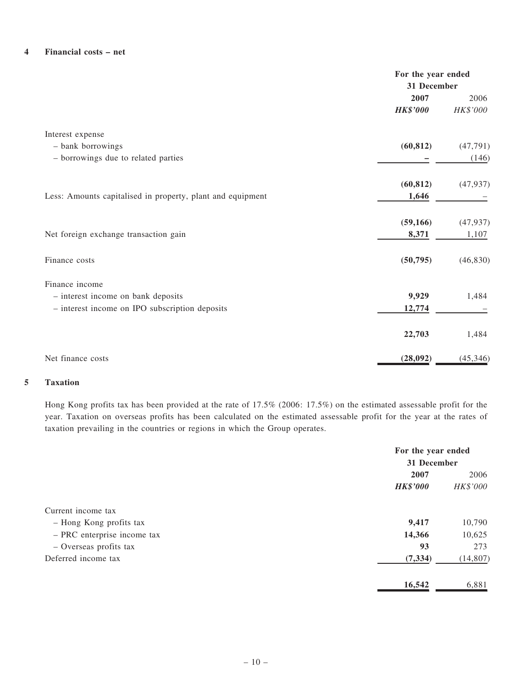#### 4 Financial costs – net

|                                                            | For the year ended<br>31 December |           |
|------------------------------------------------------------|-----------------------------------|-----------|
|                                                            | 2007                              | 2006      |
|                                                            | <b>HK\$'000</b>                   | HK\$'000  |
| Interest expense                                           |                                   |           |
| - bank borrowings                                          | (60, 812)                         | (47, 791) |
| - borrowings due to related parties                        |                                   | (146)     |
|                                                            | (60, 812)                         | (47, 937) |
| Less: Amounts capitalised in property, plant and equipment | 1,646                             |           |
|                                                            | (59, 166)                         | (47, 937) |
| Net foreign exchange transaction gain                      | 8,371                             | 1,107     |
| Finance costs                                              | (50, 795)                         | (46, 830) |
| Finance income                                             |                                   |           |
| - interest income on bank deposits                         | 9,929                             | 1,484     |
| - interest income on IPO subscription deposits             | 12,774                            |           |
|                                                            | 22,703                            | 1,484     |
| Net finance costs                                          | (28,092)                          | (45, 346) |

#### 5 Taxation

Hong Kong profits tax has been provided at the rate of 17.5% (2006: 17.5%) on the estimated assessable profit for the year. Taxation on overseas profits has been calculated on the estimated assessable profit for the year at the rates of taxation prevailing in the countries or regions in which the Group operates.

|                             |                 | For the year ended<br>31 December |  |
|-----------------------------|-----------------|-----------------------------------|--|
|                             | 2007            | 2006                              |  |
|                             | <b>HK\$'000</b> | HK\$'000                          |  |
| Current income tax          |                 |                                   |  |
| - Hong Kong profits tax     | 9,417           | 10,790                            |  |
| - PRC enterprise income tax | 14,366          | 10,625                            |  |
| - Overseas profits tax      | 93              | 273                               |  |
| Deferred income tax         | (7, 334)        | (14, 807)                         |  |
|                             | 16,542          | 6,881                             |  |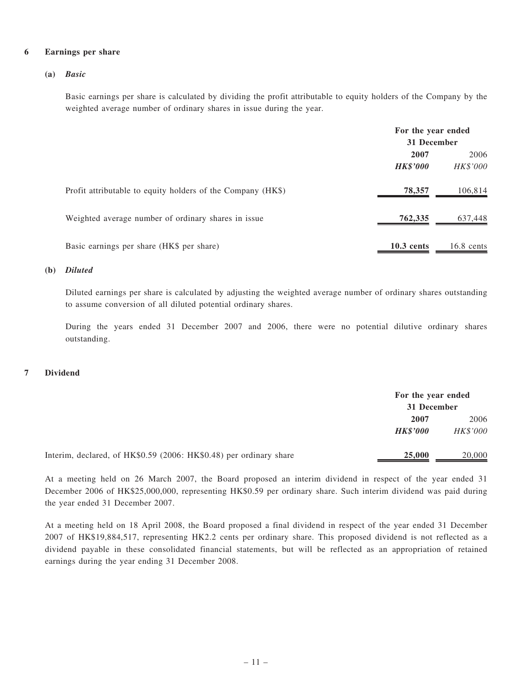#### 6 Earnings per share

#### (a) Basic

Basic earnings per share is calculated by dividing the profit attributable to equity holders of the Company by the weighted average number of ordinary shares in issue during the year.

|                                                             | For the year ended<br>31 December |                  |
|-------------------------------------------------------------|-----------------------------------|------------------|
|                                                             | 2007<br><b>HK\$'000</b>           | 2006<br>HK\$'000 |
| Profit attributable to equity holders of the Company (HK\$) | 78,357                            | 106,814          |
| Weighted average number of ordinary shares in issue         | 762,335                           | 637,448          |
| Basic earnings per share (HK\$ per share)                   | $10.3$ cents                      | $16.8$ cents     |

#### (b) Diluted

Diluted earnings per share is calculated by adjusting the weighted average number of ordinary shares outstanding to assume conversion of all diluted potential ordinary shares.

During the years ended 31 December 2007 and 2006, there were no potential dilutive ordinary shares outstanding.

#### 7 Dividend

|                                                                    | For the year ended |          |
|--------------------------------------------------------------------|--------------------|----------|
|                                                                    | 31 December        |          |
|                                                                    | 2007               | 2006     |
|                                                                    | <b>HK\$'000</b>    | HK\$'000 |
| Interim, declared, of HK\$0.59 (2006: HK\$0.48) per ordinary share | 25,000             | 20,000   |

At a meeting held on 26 March 2007, the Board proposed an interim dividend in respect of the year ended 31 December 2006 of HK\$25,000,000, representing HK\$0.59 per ordinary share. Such interim dividend was paid during the year ended 31 December 2007.

At a meeting held on 18 April 2008, the Board proposed a final dividend in respect of the year ended 31 December 2007 of HK\$19,884,517, representing HK2.2 cents per ordinary share. This proposed dividend is not reflected as a dividend payable in these consolidated financial statements, but will be reflected as an appropriation of retained earnings during the year ending 31 December 2008.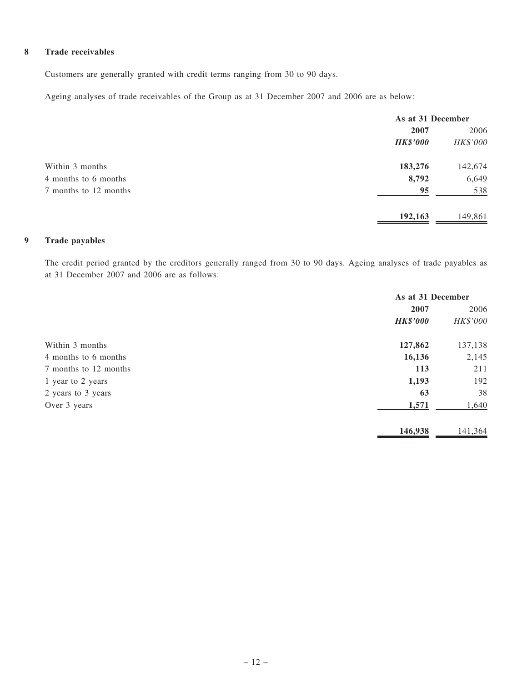#### 8 Trade receivables

Customers are generally granted with credit terms ranging from 30 to 90 days.

Ageing analyses of trade receivables of the Group as at 31 December 2007 and 2006 are as below:

|                       | As at 31 December |          |
|-----------------------|-------------------|----------|
|                       | 2007              | 2006     |
|                       | <b>HK\$'000</b>   | HK\$'000 |
| Within 3 months       | 183,276           | 142,674  |
| 4 months to 6 months  | 8,792             | 6,649    |
| 7 months to 12 months | 95                | 538      |
|                       | 192,163           | 149,861  |

#### 9 Trade payables

The credit period granted by the creditors generally ranged from 30 to 90 days. Ageing analyses of trade payables as at 31 December 2007 and 2006 are as follows:

|                       | As at 31 December |          |
|-----------------------|-------------------|----------|
|                       | 2007              | 2006     |
|                       | <b>HK\$'000</b>   | HK\$'000 |
| Within 3 months       | 127,862           | 137,138  |
| 4 months to 6 months  | 16,136            | 2,145    |
| 7 months to 12 months | 113               | 211      |
| 1 year to 2 years     | 1,193             | 192      |
| 2 years to 3 years    | 63                | 38       |
| Over 3 years          | 1,571             | 1,640    |
|                       | 146,938           | 141,364  |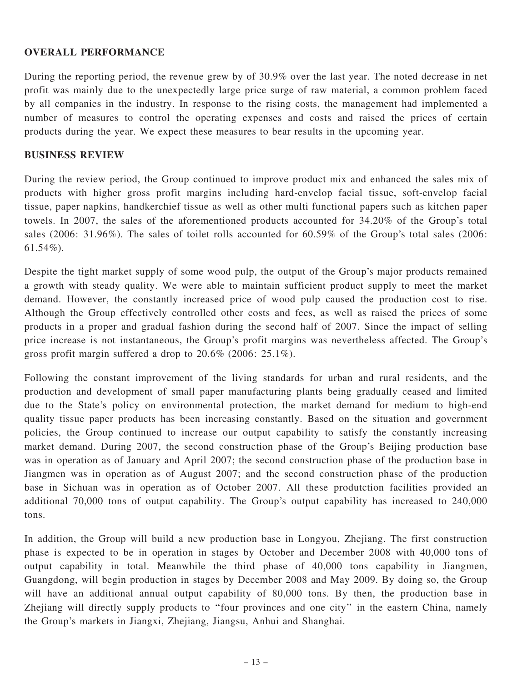#### OVERALL PERFORMANCE

During the reporting period, the revenue grew by of 30.9% over the last year. The noted decrease in net profit was mainly due to the unexpectedly large price surge of raw material, a common problem faced by all companies in the industry. In response to the rising costs, the management had implemented a number of measures to control the operating expenses and costs and raised the prices of certain products during the year. We expect these measures to bear results in the upcoming year.

#### BUSINESS REVIEW

During the review period, the Group continued to improve product mix and enhanced the sales mix of products with higher gross profit margins including hard-envelop facial tissue, soft-envelop facial tissue, paper napkins, handkerchief tissue as well as other multi functional papers such as kitchen paper towels. In 2007, the sales of the aforementioned products accounted for 34.20% of the Group's total sales (2006: 31.96%). The sales of toilet rolls accounted for 60.59% of the Group's total sales (2006: 61.54%).

Despite the tight market supply of some wood pulp, the output of the Group's major products remained a growth with steady quality. We were able to maintain sufficient product supply to meet the market demand. However, the constantly increased price of wood pulp caused the production cost to rise. Although the Group effectively controlled other costs and fees, as well as raised the prices of some products in a proper and gradual fashion during the second half of 2007. Since the impact of selling price increase is not instantaneous, the Group's profit margins was nevertheless affected. The Group's gross profit margin suffered a drop to 20.6% (2006: 25.1%).

Following the constant improvement of the living standards for urban and rural residents, and the production and development of small paper manufacturing plants being gradually ceased and limited due to the State's policy on environmental protection, the market demand for medium to high-end quality tissue paper products has been increasing constantly. Based on the situation and government policies, the Group continued to increase our output capability to satisfy the constantly increasing market demand. During 2007, the second construction phase of the Group's Beijing production base was in operation as of January and April 2007; the second construction phase of the production base in Jiangmen was in operation as of August 2007; and the second construction phase of the production base in Sichuan was in operation as of October 2007. All these produtction facilities provided an additional 70,000 tons of output capability. The Group's output capability has increased to 240,000 tons.

In addition, the Group will build a new production base in Longyou, Zhejiang. The first construction phase is expected to be in operation in stages by October and December 2008 with 40,000 tons of output capability in total. Meanwhile the third phase of 40,000 tons capability in Jiangmen, Guangdong, will begin production in stages by December 2008 and May 2009. By doing so, the Group will have an additional annual output capability of 80,000 tons. By then, the production base in Zhejiang will directly supply products to ''four provinces and one city'' in the eastern China, namely the Group's markets in Jiangxi, Zhejiang, Jiangsu, Anhui and Shanghai.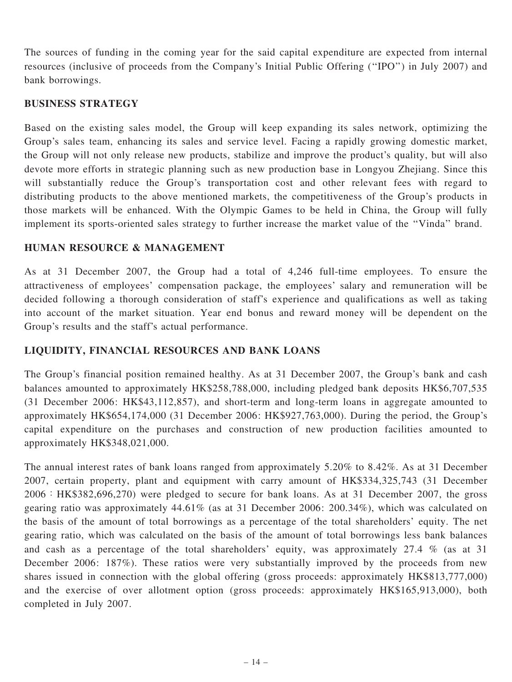The sources of funding in the coming year for the said capital expenditure are expected from internal resources (inclusive of proceeds from the Company's Initial Public Offering (''IPO'') in July 2007) and bank borrowings.

#### BUSINESS STRATEGY

Based on the existing sales model, the Group will keep expanding its sales network, optimizing the Group's sales team, enhancing its sales and service level. Facing a rapidly growing domestic market, the Group will not only release new products, stabilize and improve the product's quality, but will also devote more efforts in strategic planning such as new production base in Longyou Zhejiang. Since this will substantially reduce the Group's transportation cost and other relevant fees with regard to distributing products to the above mentioned markets, the competitiveness of the Group's products in those markets will be enhanced. With the Olympic Games to be held in China, the Group will fully implement its sports-oriented sales strategy to further increase the market value of the ''Vinda'' brand.

#### HUMAN RESOURCE & MANAGEMENT

As at 31 December 2007, the Group had a total of 4,246 full-time employees. To ensure the attractiveness of employees' compensation package, the employees' salary and remuneration will be decided following a thorough consideration of staff's experience and qualifications as well as taking into account of the market situation. Year end bonus and reward money will be dependent on the Group's results and the staff's actual performance.

### LIQUIDITY, FINANCIAL RESOURCES AND BANK LOANS

The Group's financial position remained healthy. As at 31 December 2007, the Group's bank and cash balances amounted to approximately HK\$258,788,000, including pledged bank deposits HK\$6,707,535 (31 December 2006: HK\$43,112,857), and short-term and long-term loans in aggregate amounted to approximately HK\$654,174,000 (31 December 2006: HK\$927,763,000). During the period, the Group's capital expenditure on the purchases and construction of new production facilities amounted to approximately HK\$348,021,000.

The annual interest rates of bank loans ranged from approximately 5.20% to 8.42%. As at 31 December 2007, certain property, plant and equipment with carry amount of HK\$334,325,743 (31 December 2006:HK\$382,696,270) were pledged to secure for bank loans. As at 31 December 2007, the gross gearing ratio was approximately 44.61% (as at 31 December 2006: 200.34%), which was calculated on the basis of the amount of total borrowings as a percentage of the total shareholders' equity. The net gearing ratio, which was calculated on the basis of the amount of total borrowings less bank balances and cash as a percentage of the total shareholders' equity, was approximately 27.4 % (as at 31 December 2006: 187%). These ratios were very substantially improved by the proceeds from new shares issued in connection with the global offering (gross proceeds: approximately HK\$813,777,000) and the exercise of over allotment option (gross proceeds: approximately HK\$165,913,000), both completed in July 2007.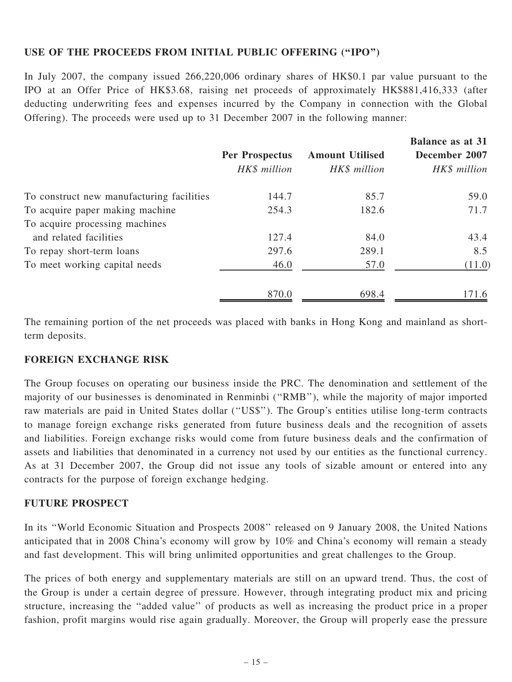### USE OF THE PROCEEDS FROM INITIAL PUBLIC OFFERING (''IPO'')

In July 2007, the company issued 266,220,006 ordinary shares of HK\$0.1 par value pursuant to the IPO at an Offer Price of HK\$3.68, raising net proceeds of approximately HK\$881,416,333 (after deducting underwriting fees and expenses incurred by the Company in connection with the Global Offering). The proceeds were used up to 31 December 2007 in the following manner:

|                                           |                       |                        | <b>Balance as at 31</b> |
|-------------------------------------------|-----------------------|------------------------|-------------------------|
|                                           | <b>Per Prospectus</b> | <b>Amount Utilised</b> | December 2007           |
|                                           | HK\$ million          | HK\$ million           | HK\$ million            |
| To construct new manufacturing facilities | 144.7                 | 85.7                   | 59.0                    |
| To acquire paper making machine           | 254.3                 | 182.6                  | 71.7                    |
| To acquire processing machines            |                       |                        |                         |
| and related facilities                    | 127.4                 | 84.0                   | 43.4                    |
| To repay short-term loans                 | 297.6                 | 289.1                  | 8.5                     |
| To meet working capital needs             | 46.0                  | 57.0                   | (11.0)                  |
|                                           | 870.0                 | 698.4                  | 171.6                   |

The remaining portion of the net proceeds was placed with banks in Hong Kong and mainland as shortterm deposits.

### FOREIGN EXCHANGE RISK

The Group focuses on operating our business inside the PRC. The denomination and settlement of the majority of our businesses is denominated in Renminbi (''RMB''), while the majority of major imported raw materials are paid in United States dollar (''US\$''). The Group's entities utilise long-term contracts to manage foreign exchange risks generated from future business deals and the recognition of assets and liabilities. Foreign exchange risks would come from future business deals and the confirmation of assets and liabilities that denominated in a currency not used by our entities as the functional currency. As at 31 December 2007, the Group did not issue any tools of sizable amount or entered into any contracts for the purpose of foreign exchange hedging.

### FUTURE PROSPECT

In its ''World Economic Situation and Prospects 2008'' released on 9 January 2008, the United Nations anticipated that in 2008 China's economy will grow by 10% and China's economy will remain a steady and fast development. This will bring unlimited opportunities and great challenges to the Group.

The prices of both energy and supplementary materials are still on an upward trend. Thus, the cost of the Group is under a certain degree of pressure. However, through integrating product mix and pricing structure, increasing the ''added value'' of products as well as increasing the product price in a proper fashion, profit margins would rise again gradually. Moreover, the Group will properly ease the pressure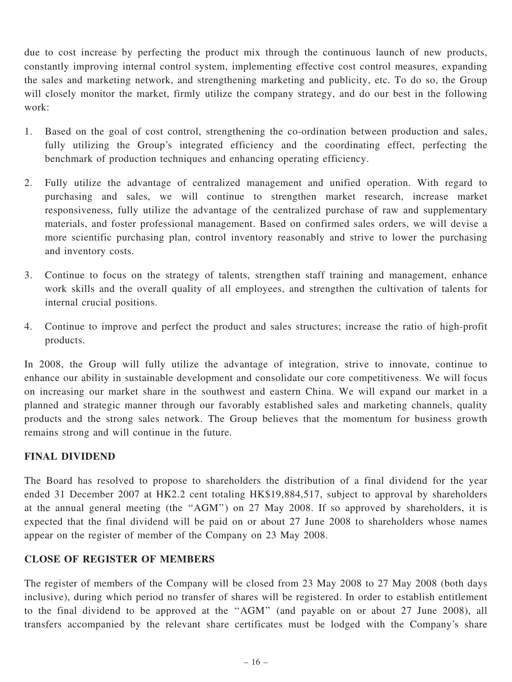due to cost increase by perfecting the product mix through the continuous launch of new products, constantly improving internal control system, implementing effective cost control measures, expanding the sales and marketing network, and strengthening marketing and publicity, etc. To do so, the Group will closely monitor the market, firmly utilize the company strategy, and do our best in the following work:

- 1. Based on the goal of cost control, strengthening the co-ordination between production and sales, fully utilizing the Group's integrated efficiency and the coordinating effect, perfecting the benchmark of production techniques and enhancing operating efficiency.
- 2. Fully utilize the advantage of centralized management and unified operation. With regard to purchasing and sales, we will continue to strengthen market research, increase market responsiveness, fully utilize the advantage of the centralized purchase of raw and supplementary materials, and foster professional management. Based on confirmed sales orders, we will devise a more scientific purchasing plan, control inventory reasonably and strive to lower the purchasing and inventory costs.
- 3. Continue to focus on the strategy of talents, strengthen staff training and management, enhance work skills and the overall quality of all employees, and strengthen the cultivation of talents for internal crucial positions.
- 4. Continue to improve and perfect the product and sales structures; increase the ratio of high-profit products.

In 2008, the Group will fully utilize the advantage of integration, strive to innovate, continue to enhance our ability in sustainable development and consolidate our core competitiveness. We will focus on increasing our market share in the southwest and eastern China. We will expand our market in a planned and strategic manner through our favorably established sales and marketing channels, quality products and the strong sales network. The Group believes that the momentum for business growth remains strong and will continue in the future.

### FINAL DIVIDEND

The Board has resolved to propose to shareholders the distribution of a final dividend for the year ended 31 December 2007 at HK2.2 cent totaling HK\$19,884,517, subject to approval by shareholders at the annual general meeting (the ''AGM'') on 27 May 2008. If so approved by shareholders, it is expected that the final dividend will be paid on or about 27 June 2008 to shareholders whose names appear on the register of member of the Company on 23 May 2008.

### CLOSE OF REGISTER OF MEMBERS

The register of members of the Company will be closed from 23 May 2008 to 27 May 2008 (both days inclusive), during which period no transfer of shares will be registered. In order to establish entitlement to the final dividend to be approved at the ''AGM'' (and payable on or about 27 June 2008), all transfers accompanied by the relevant share certificates must be lodged with the Company's share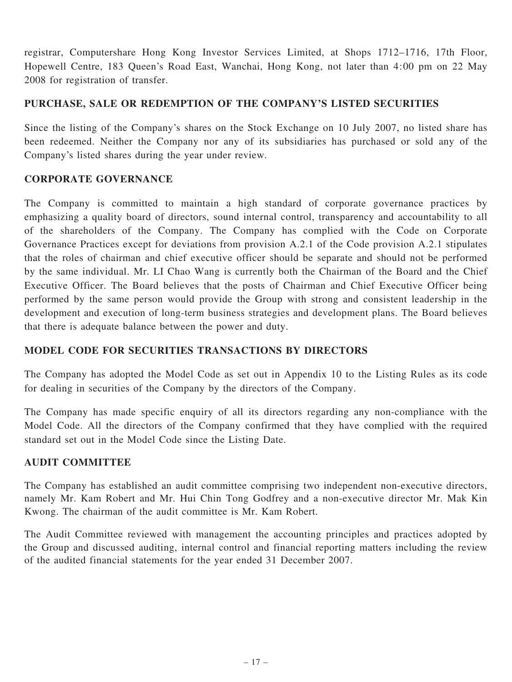registrar, Computershare Hong Kong Investor Services Limited, at Shops 1712–1716, 17th Floor, Hopewell Centre, 183 Queen's Road East, Wanchai, Hong Kong, not later than 4:00 pm on 22 May 2008 for registration of transfer.

## PURCHASE, SALE OR REDEMPTION OF THE COMPANY'S LISTED SECURITIES

Since the listing of the Company's shares on the Stock Exchange on 10 July 2007, no listed share has been redeemed. Neither the Company nor any of its subsidiaries has purchased or sold any of the Company's listed shares during the year under review.

## CORPORATE GOVERNANCE

The Company is committed to maintain a high standard of corporate governance practices by emphasizing a quality board of directors, sound internal control, transparency and accountability to all of the shareholders of the Company. The Company has complied with the Code on Corporate Governance Practices except for deviations from provision A.2.1 of the Code provision A.2.1 stipulates that the roles of chairman and chief executive officer should be separate and should not be performed by the same individual. Mr. LI Chao Wang is currently both the Chairman of the Board and the Chief Executive Officer. The Board believes that the posts of Chairman and Chief Executive Officer being performed by the same person would provide the Group with strong and consistent leadership in the development and execution of long-term business strategies and development plans. The Board believes that there is adequate balance between the power and duty.

# MODEL CODE FOR SECURITIES TRANSACTIONS BY DIRECTORS

The Company has adopted the Model Code as set out in Appendix 10 to the Listing Rules as its code for dealing in securities of the Company by the directors of the Company.

The Company has made specific enquiry of all its directors regarding any non-compliance with the Model Code. All the directors of the Company confirmed that they have complied with the required standard set out in the Model Code since the Listing Date.

### AUDIT COMMITTEE

The Company has established an audit committee comprising two independent non-executive directors, namely Mr. Kam Robert and Mr. Hui Chin Tong Godfrey and a non-executive director Mr. Mak Kin Kwong. The chairman of the audit committee is Mr. Kam Robert.

The Audit Committee reviewed with management the accounting principles and practices adopted by the Group and discussed auditing, internal control and financial reporting matters including the review of the audited financial statements for the year ended 31 December 2007.